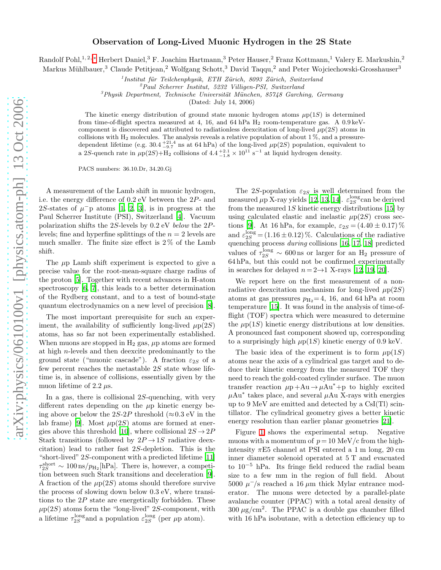## Observation of Long-Lived Muonic Hydrogen in the 2S State

Randolf Pohl,<sup>1, 2,</sup> \* Herbert Daniel,<sup>3</sup> F. Joachim Hartmann,<sup>3</sup> Peter Hauser,<sup>2</sup> Franz Kottmann,<sup>1</sup> Valery E. Markushin,<sup>2</sup>

Markus Mühlbauer,<sup>3</sup> Claude Petitjean,<sup>2</sup> Wolfgang Schott,<sup>3</sup> David Taqqu,<sup>2</sup> and Peter Wojciechowski-Grosshauser<sup>3</sup>

<sup>1</sup> Institut für Teilchenphysik, ETH Zürich, 8093 Zürich, Switzerland

<sup>2</sup>Paul Scherrer Institut, 5232 Villigen-PSI, Switzerland

 $3$ Physik Department, Technische Universität München, 85748 Garching, Germany

(Dated: July 14, 2006)

The kinetic energy distribution of ground state muonic hydrogen atoms  $\mu p(1S)$  is determined from time-of-flight spectra measured at 4, 16, and 64 hPa  $H_2$  room-temperature gas. A 0.9 keVcomponent is discovered and attributed to radiationless deexcitation of long-lived  $\mu$ p(2S) atoms in collisions with  $H_2$  molecules. The analysis reveals a relative population of about 1%, and a pressuredependent lifetime (e.g.  $30.4_{-9.7}^{+21.4}$  ns at 64 hPa) of the long-lived  $\mu$ p(2S) population, equivalent to a 2S-quench rate in  $\mu p(2S) + H_2$  collisions of  $4.4^{+2.1}_{-1.8} \times 10^{11} \text{ s}^{-1}$  at liquid hydrogen density.

PACS numbers: 36.10.Dr, 34.20.Gj

A measurement of the Lamb shift in muonic hydrogen, i.e. the energy difference of 0.2 eV between the 2P- and 2S-states of  $\mu$ <sup>-</sup>p atoms [\[1](#page-3-1), [2,](#page-3-2) [3](#page-3-3)], is in progress at the Paul Scherrer Institute (PSI), Switzerland [\[4\]](#page-3-4). Vacuum polarization shifts the 2S-levels by 0.2 eV below the 2Plevels; fine and hyperfine splittings of the  $n = 2$  levels are much smaller. The finite size effect is 2 % of the Lamb shift.

The  $\mu$ p Lamb shift experiment is expected to give a precise value for the root-mean-square charge radius of the proton [\[5](#page-3-5)]. Together with recent advances in H-atom spectroscopy [\[6,](#page-3-6) [7](#page-3-7)], this leads to a better determination of the Rydberg constant, and to a test of bound-state quantum electrodynamics on a new level of precision [\[8\]](#page-3-8).

The most important prerequisite for such an experiment, the availability of sufficiently long-lived  $\mu$ p(2S) atoms, has so far not been experimentally established. When muons are stopped in  $H_2$  gas,  $\mu$ p atoms are formed at high n-levels and then deexcite predominantly to the ground state ("muonic cascade"). A fraction  $\varepsilon_{2S}$  of a few percent reaches the metastable  $2S$  state whose lifetime is, in absence of collisions, essentially given by the muon lifetime of 2.2  $\mu$ s.

In a gas, there is collisional  $2S$ -quenching, with very different rates depending on the  $\mu$ p kinetic energy being above or below the 2S-2P threshold ( $\approx 0.3$  eV in the lab frame) [\[9](#page-3-9)]. Most  $\mu$ p(2*S*) atoms are formed at ener-gies above this threshold [\[10\]](#page-3-10), where collisional  $2S \rightarrow 2P$ Stark transitions (followed by  $2P \rightarrow 1S$  radiative deexcitation) lead to rather fast 2S-depletion. This is the "short-lived" 2S-component with a predicted lifetime [\[11](#page-3-11)]  $\tau_{2S}^{\text{short}} \sim 100 \,\text{ns}/p_{\text{H}_2}[\text{hPa}]$ . There is, however, a competition between such Stark transitions and deceleration [\[9\]](#page-3-9). A fraction of the  $\mu$ p(2S) atoms should therefore survive the process of slowing down below 0.3 eV, where transitions to the  $2P$  state are energetically forbidden. These  $\mu \mathrm{p}(2S)$  atoms form the "long-lived"  $2S\text{-component, with}$ a lifetime  $\tau_{2S}^{\text{long}}$  and a population  $\varepsilon_{2S}^{\text{long}}$  (per  $\mu$ p atom).

The 2S-population  $\varepsilon_{2S}$  is well determined from the measured  $\mu$ p X-ray yields [\[12,](#page-3-12) [13,](#page-3-13) [14](#page-3-14)].  $\varepsilon_{2S}^{\text{long}}$ can be derived from the measured  $1S$  kinetic energy distributions [\[15](#page-3-15)] by using calculated elastic and inelastic  $\mu$ p(2S) cross sec-tions [\[9\]](#page-3-9). At 16 hPa, for example,  $\varepsilon_{2S} = (4.40 \pm 0.17)$ % and  $\varepsilon_{2S}^{\text{long}} = (1.16 \pm 0.12)$ %. Calculations of the radiative quenching process during collisions [\[16](#page-3-16), [17,](#page-3-17) [18\]](#page-3-18) predicted values of  $\tau_{2S}^{\text{long}} \sim 600 \,\text{ns}$  or larger for an H<sub>2</sub> pressure of 64 hPa, but this could not be confirmed experimentally in searches for delayed  $n = 2 \rightarrow 1$  X-rays [\[12](#page-3-12), [19](#page-3-19), [20](#page-3-20)].

We report here on the first measurement of a nonradiative deexcitation mechanism for long-lived  $\mu$ p(2S) atoms at gas pressures  $p_{\text{H}_2}=4$ , 16, and 64 hPa at room temperature [\[15](#page-3-15)]. It was found in the analysis of time-offlight (TOF) spectra which were measured to determine the  $\mu$ p(1S) kinetic energy distributions at low densities. A pronounced fast component showed up, corresponding to a surprisingly high  $\mu$ p(1S) kinetic energy of 0.9 keV.

The basic idea of the experiment is to form  $\mu$ p(1S) atoms near the axis of a cylindrical gas target and to deduce their kinetic energy from the measured TOF they need to reach the gold-coated cylinder surface. The muon transfer reaction  $\mu p + Au \rightarrow \mu Au^* + p$  to highly excited  $\mu \text{Au}^*$  takes place, and several  $\mu \text{Au}$  X-rays with energies up to 9 MeV are emitted and detected by a CsI(Tl) scintillator. The cylindrical geometry gives a better kinetic energy resolution than earlier planar geometries [\[21\]](#page-3-21).

Figure [1](#page-1-0) shows the experimental setup. Negative muons with a momentum of  $p = 10$  MeV/c from the highintensity  $\pi$ E5 channel at PSI entered a 1 m long, 20 cm inner diameter solenoid operated at 5 T and evacuated to 10<sup>−</sup><sup>5</sup> hPa. Its fringe field reduced the radial beam size to a few mm in the region of full field. About 5000  $\mu$ <sup>-</sup>/s reached a 16  $\mu$ m thick Mylar entrance moderator. The muons were detected by a parallel-plate avalanche counter (PPAC) with a total areal density of  $300 \mu g/cm^2$ . The PPAC is a double gas chamber filled with 16 hPa isobutane, with a detection efficiency up to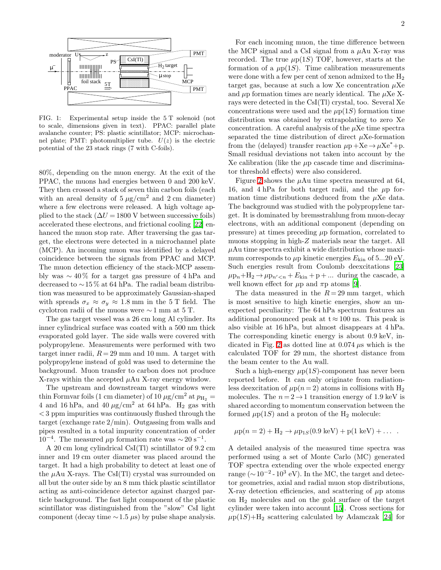

<span id="page-1-0"></span>FIG. 1: Experimental setup inside the 5 T solenoid (not to scale, dimensions given in text). PPAC: parallel plate avalanche counter; PS: plastic scintillator; MCP: microchannel plate; PMT: photomultiplier tube.  $U(z)$  is the electric potential of the 23 stack rings (7 with C-foils).

80%, depending on the muon energy. At the exit of the PPAC, the muons had energies between 0 and 200 keV. They then crossed a stack of seven thin carbon foils (each with an areal density of  $5 \mu g/cm^2$  and  $2 \text{ cm}$  diameter) where a few electrons were released. A high voltage applied to the stack  $(\Delta U = 1800 \text{ V}$  between successive foils) accelerated these electrons, and frictional cooling [\[22](#page-3-22)] enhanced the muon stop rate. After traversing the gas target, the electrons were detected in a microchannel plate (MCP). An incoming muon was identified by a delayed coincidence between the signals from PPAC and MCP. The muon detection efficiency of the stack-MCP assembly was  $\sim 40\%$  for a target gas pressure of 4 hPa and decreased to ∼15 % at 64 hPa. The radial beam distribution was measured to be approximately Gaussian-shaped with spreads  $\sigma_x \approx \sigma_y \approx 1.8$  mm in the 5 T field. The cyclotron radii of the muons were ∼ 1 mm at 5 T.

The gas target vessel was a 26 cm long Al cylinder. Its inner cylindrical surface was coated with a 500 nm thick evaporated gold layer. The side walls were covered with polypropylene. Measurements were performed with two target inner radii,  $R = 29$  mm and 10 mm. A target with polypropylene instead of gold was used to determine the background. Muon transfer to carbon does not produce X-rays within the accepted  $\mu \text{Au}$  X-ray energy window.

The upstream and downstream target windows were thin Formvar foils (1 cm diameter) of 10  $\mu$ g/cm<sup>2</sup> at  $p_{\text{H}_2}$  = 4 and 16 hPa, and 40  $\mu$ g/cm<sup>2</sup> at 64 hPa. H<sub>2</sub> gas with < 3 ppm impurities was continuously flushed through the target (exchange rate 2/min). Outgassing from walls and pipes resulted in a total impurity concentration of order 10<sup>-4</sup>. The measured μp formation rate was  $\sim$  20 s<sup>-1</sup>.

A 20 cm long cylindrical CsI(Tl) scintillator of 9.2 cm inner and 19 cm outer diameter was placed around the target. It had a high probability to detect at least one of the  $\mu$ Au X-rays. The CsI(Tl) crystal was surrounded on all but the outer side by an 8 mm thick plastic scintillator acting as anti-coincidence detector against charged particle background. The fast light component of the plastic scintillator was distinguished from the "slow" CsI light component (decay time  $\sim$ 1.5 µs) by pulse shape analysis.

For each incoming muon, the time difference between the MCP signal and a CsI signal from a  $\mu$ Au X-ray was recorded. The true  $\mu$ p(1S) TOF, however, starts at the formation of a  $\mu$ p(1*S*). Time calibration measurements were done with a few per cent of xenon admixed to the  $H_2$ target gas, because at such a low Xe concentration  $\mu$ Xe and  $\mu$ p formation times are nearly identical. The  $\mu$ Xe Xrays were detected in the CsI(Tl) crystal, too. Several Xe concentrations were used and the  $\mu$ p(1S) formation time distribution was obtained by extrapolating to zero Xe concentration. A careful analysis of the  $\mu$ Xe time spectra separated the time distribution of direct  $\mu$ Xe-formation from the (delayed) transfer reaction  $\mu$ p +Xe →  $\mu$ Xe<sup>\*</sup>+p. Small residual deviations not taken into account by the Xe calibration (like the  $\mu$ p cascade time and discriminator threshold effects) were also considered.

Figure [2](#page-2-0) shows the  $\mu$ Au time spectra measured at 64, 16, and 4 hPa for both target radii, and the  $\mu$ p formation time distributions deduced from the  $\mu$ Xe data. The background was studied with the polypropylene target. It is dominated by bremsstrahlung from muon-decay electrons, with an additional component (depending on pressure) at times preceding  $\mu$ p formation, correlated to muons stopping in high-Z materials near the target. All  $\mu$ Au time spectra exhibit a wide distribution whose maximum corresponds to  $\mu$ p kinetic energies  $E_{kin}$  of 5...20 eV. Such energies result from Coulomb deexcitations [\[23](#page-3-23)]  $\mu p_n + H_2 \rightarrow \mu p_{n' < n} + E_{kin} + p + \dots$  during the cascade, a well known effect for  $\mu$ p and  $\pi$ p atoms [\[9\]](#page-3-9).

The data measured in the  $R = 29$  mm target, which is most sensitive to high kinetic energies, show an unexpected peculiarity: The 64 hPa spectrum features an additional pronounced peak at  $t \approx 100$  ns. This peak is also visible at 16 hPa, but almost disappears at 4 hPa. The corresponding kinetic energy is about 0.9 keV, in-dicated in Fig. [2](#page-2-0) as dotted line at  $0.074 \mu s$  which is the calculated TOF for 29 mm, the shortest distance from the beam center to the Au wall.

Such a high-energy  $\mu$ p(1S)-component has never been reported before. It can only originate from radiationless deexcitation of  $\mu$ p(n = 2) atoms in collisions with H<sub>2</sub> molecules. The  $n = 2 \rightarrow 1$  transition energy of 1.9 keV is shared according to momentum conservation between the formed  $\mu$ p(1*S*) and a proton of the H<sub>2</sub> molecule:

$$
\mu p(n = 2) + H_2 \to \mu p_{1S}(0.9 \text{ keV}) + p(1 \text{ keV}) + \dots
$$

A detailed analysis of the measured time spectra was performed using a set of Monte Carlo (MC) generated TOF spectra extending over the whole expected energy range ( $\sim$ 10<sup>-2</sup> - 10<sup>3</sup> eV). In the MC, the target and detector geometries, axial and radial muon stop distributions, X-ray detection efficiencies, and scattering of  $\mu$ p atoms on  $H_2$  molecules and on the gold surface of the target cylinder were taken into account [\[15](#page-3-15)]. Cross sections for  $\mu$ p(1S)+H<sub>2</sub> scattering calculated by Adamczak [\[24](#page-3-24)] for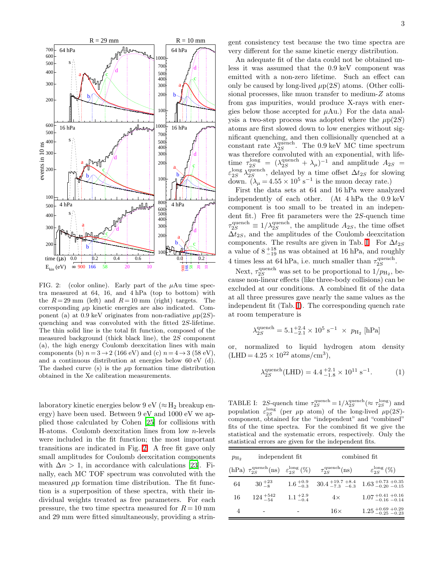

<span id="page-2-0"></span>FIG. 2: (color online). Early part of the  $\mu$ Au time spectra measured at 64, 16, and 4 hPa (top to bottom) with the  $R = 29$  mm (left) and  $R = 10$  mm (right) targets. The corresponding  $\mu$ p kinetic energies are also indicated. Component (a) at 0.9 keV originates from non-radiative  $\mu$ p(2S)quenching and was convoluted with the fitted 2S-lifetime. The thin solid line is the total fit function, composed of the measured background (thick black line), the 2S component (a), the high energy Coulomb deexcitation lines with main components (b)  $n = 3 \rightarrow 2$  (166 eV) and (c)  $n = 4 \rightarrow 3$  (58 eV), and a continuous distribution at energies below 60 eV (d). The dashed curve (s) is the  $\mu$ p formation time distribution obtained in the Xe calibration measurements.

laboratory kinetic energies below 9 eV ( $\approx$  H<sub>2</sub> breakup energy) have been used. Between 9 eV and 1000 eV we applied those calculated by Cohen [\[25\]](#page-3-25) for collisions with H-atoms. Coulomb deexcitation lines from low n-levels were included in the fit function; the most important transitions are indicated in Fig. [2.](#page-2-0) A free fit gave only small amplitudes for Coulomb deexcitation components with  $\Delta n > 1$ , in accordance with calculations [\[23\]](#page-3-23). Finally, each MC TOF spectrum was convoluted with the measured  $\mu$ p formation time distribution. The fit function is a superposition of these spectra, with their individual weights treated as free parameters. For each pressure, the two time spectra measured for  $R = 10$  mm and 29 mm were fitted simultaneously, providing a stringent consistency test because the two time spectra are very different for the same kinetic energy distribution.

An adequate fit of the data could not be obtained unless it was assumed that the 0.9 keV component was emitted with a non-zero lifetime. Such an effect can only be caused by long-lived  $\mu$ p(2S) atoms. (Other collisional processes, like muon transfer to medium-Z atoms from gas impurities, would produce X-rays with energies below those accepted for  $\mu \text{Au}$ . For the data analysis a two-step process was adopted where the  $\mu$ p(2S) atoms are first slowed down to low energies without significant quenching, and then collisionally quenched at a constant rate  $\lambda_{2S}^{\text{quench}}$ . The 0.9 keV MC time spectrum was therefore convoluted with an exponential, with lifetime  $\tau_{2S}^{\text{long}} = (\lambda_{2S}^{\text{quench}} + \lambda_{\mu})^{-1}$  and amplitude  $A_{2S}$  =  $\varepsilon_{2S}^{\text{long}} \lambda_{2S}^{\text{quench}}$ , delayed by a time offset  $\Delta t_{2S}$  for slowing down.  $(\lambda_{\mu} = 4.55 \times 10^5 \text{ s}^{-1})$  is the muon decay rate.)

First the data sets at 64 and 16 hPa were analyzed independently of each other. (At 4 hPa the 0.9 keV component is too small to be treated in an independent fit.) Free fit parameters were the 2S-quench time  $\tau_{2S}^{\text{quench}} \equiv 1/\lambda_{2S}^{\text{quench}}$ , the amplitude  $A_{2S}$ , the time offset  $\Delta t_{2S}$ , and the amplitudes of the Coulomb deexcitation components. The results are given in Tab. [I.](#page-2-1) For  $\Delta t_{2S}$ a value of  $8^{+18}_{-19}$  ns was obtained at 16 hPa, and roughly 4 times less at 64 hPa, i.e. much smaller than  $\tau_{2S}^{\text{quench}}$ .

Next,  $\tau_{2S}^{\text{quench}}$  was set to be proportional to  $1/p_{\text{H}_2}$ , because non-linear effects (like three-body collisions) can be excluded at our conditions. A combined fit of the data at all three pressures gave nearly the same values as the independent fit (Tab. [I\)](#page-2-1). The corresponding quench rate at room temperature is

$$
\lambda_{2S}^{\mathrm{quench}} = 5.1^{+2.4}_{-2.1} \times 10^5 \; \mathrm{s}^{-1} \; \times \; p_{\mathrm{H}_2} \; [\mathrm{hPa}]
$$

or, normalized to liquid hydrogen atom density  $(LHD = 4.25 \times 10^{22} \text{ atoms/cm}^3),$ 

<span id="page-2-2"></span>
$$
\lambda_{2S}^{\text{quench}}(\text{LHD}) = 4.4_{-1.8}^{+2.1} \times 10^{11} \text{ s}^{-1}.
$$
 (1)

<span id="page-2-1"></span>TABLE I: 2S-quench time  $\tau_{2S}^{\text{quench}} = 1/\lambda_{2S}^{\text{quench}} (\approx \tau_{2S}^{\text{long}})$  and population  $\varepsilon_{2S}^{\text{long}}$  (per  $\mu$ p atom) of the long-lived  $\mu$ p(2S)component, obtained for the "independent" and "combined" fits of the time spectra. For the combined fit we give the statistical and the systematic errors, respectively. Only the statistical errors are given for the independent fits.

| $p_{\rm H_2}$ | independent fit    |                     | combined fit                                                                                                                      |                                                                                                      |
|---------------|--------------------|---------------------|-----------------------------------------------------------------------------------------------------------------------------------|------------------------------------------------------------------------------------------------------|
|               |                    |                     | (hPa) $\tau_{2S}^{\text{quench}}(\text{ns}) \quad \varepsilon_{2S}^{\text{long}}(\%) \qquad \tau_{2S}^{\text{quench}}(\text{ns})$ | $\varepsilon_{2S}^{\text{long}}(\%)$                                                                 |
| 64            | $30+23$            |                     |                                                                                                                                   | $1.6_{-0.3}^{+0.9}$ $30.4_{-7.3}^{+19.7}$ $_{-6.3}^{+8.4}$ $1.63_{-0.20}^{+0.73}$ $_{-0.15}^{+0.35}$ |
| 16            | $124^{+542}_{-54}$ | $1.1_{-0.4}^{+2.9}$ | $4\times$                                                                                                                         | $1.07_{-0.16}^{+0.41}$ +0.16                                                                         |
| 4             |                    |                     | $16\times$                                                                                                                        | $1.25_{\,-0.25\,-0.23}^{\,+0.69\,+0.29}$                                                             |